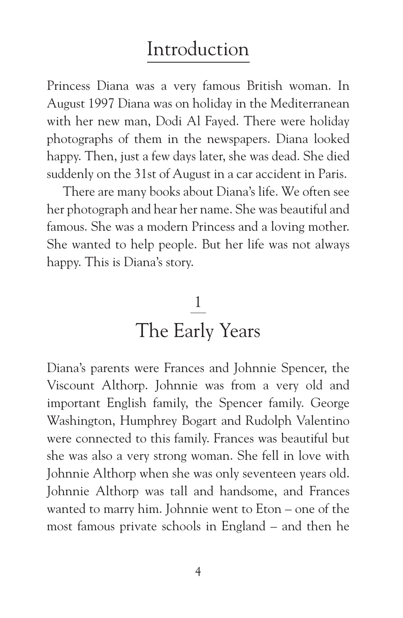## Introduction

Princess Diana was a very famous British woman. In August 1997 Diana was on holiday in the Mediterranean with her new man, Dodi Al Fayed. There were holiday photographs of them in the newspapers. Diana looked happy. Then, just a few days later, she was dead. She died suddenly on the 31st of August in a car accident in Paris.

There are many books about Diana's life. We often see her photograph and hear her name. She was beautiful and famous. She was a modern Princess and a loving mother. She wanted to help people. But her life was not always happy. This is Diana's story.

## $\frac{1}{\sqrt{2}}$ The Early Years

Diana's parents were Frances and Johnnie Spencer, the Viscount Althorp. Johnnie was from a very old and important English family, the Spencer family. George Washington, Humphrey Bogart and Rudolph Valentino were connected to this family. Frances was beautiful but she was also a very strong woman. She fell in love with Johnnie Althorp when she was only seventeen years old. Johnnie Althorp was tall and handsome, and Frances wanted to marry him. Johnnie went to Eton – one of the most famous private schools in England – and then he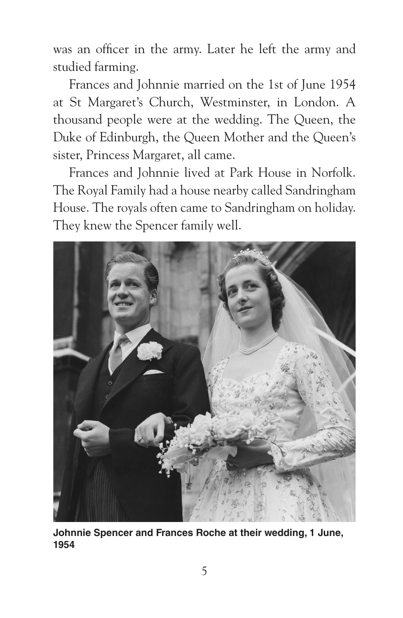was an officer in the army. Later he left the army and studied farming.

Frances and Johnnie married on the 1st of June 1954 at St Margaret's Church, Westminster, in London. A thousand people were at the wedding. The Queen, the Duke of Edinburgh, the Queen Mother and the Queen's sister, Princess Margaret, all came.

Frances and Johnnie lived at Park House in Norfolk. The Royal Family had a house nearby called Sandringham House. The royals often came to Sandringham on holiday. They knew the Spencer family well.



**Johnnie Spencer and Frances Roche at their wedding, 1 June, 1954**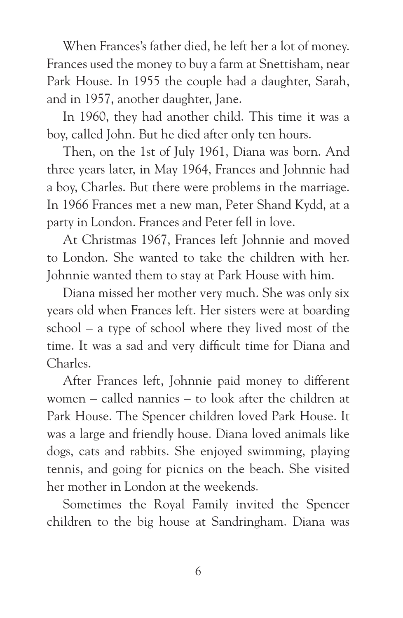When Frances's father died, he left her a lot of money. Frances used the money to buy a farm at Snettisham, near Park House. In 1955 the couple had a daughter, Sarah, and in 1957, another daughter, Jane.

In 1960, they had another child. This time it was a boy, called John. But he died after only ten hours.

Then, on the 1st of July 1961, Diana was born. And three years later, in May 1964, Frances and Johnnie had a boy, Charles. But there were problems in the marriage. In 1966 Frances met a new man, Peter Shand Kydd, at a party in London. Frances and Peter fell in love.

At Christmas 1967, Frances left Johnnie and moved to London. She wanted to take the children with her. Johnnie wanted them to stay at Park House with him.

Diana missed her mother very much. She was only six years old when Frances left. Her sisters were at boarding school – a type of school where they lived most of the time. It was a sad and very difficult time for Diana and Charles.

After Frances left, Johnnie paid money to different women – called nannies – to look after the children at Park House. The Spencer children loved Park House. It was a large and friendly house. Diana loved animals like dogs, cats and rabbits. She enjoyed swimming, playing tennis, and going for picnics on the beach. She visited her mother in London at the weekends.

Sometimes the Royal Family invited the Spencer children to the big house at Sandringham. Diana was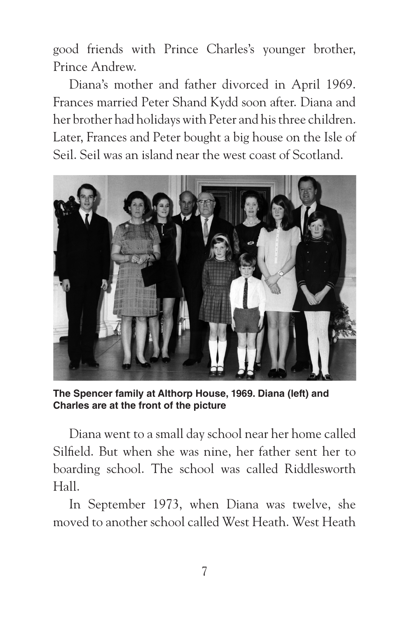good friends with Prince Charles's younger brother, Prince Andrew.

Diana's mother and father divorced in April 1969. Frances married Peter Shand Kydd soon after. Diana and her brother had holidays with Peter and his three children. Later, Frances and Peter bought a big house on the Isle of Seil. Seil was an island near the west coast of Scotland.



**The Spencer family at Althorp House, 1969. Diana (left) and Charles are at the front of the picture**

Diana went to a small day school near her home called Silfield. But when she was nine, her father sent her to boarding school. The school was called Riddlesworth Hall.

In September 1973, when Diana was twelve, she moved to another school called West Heath. West Heath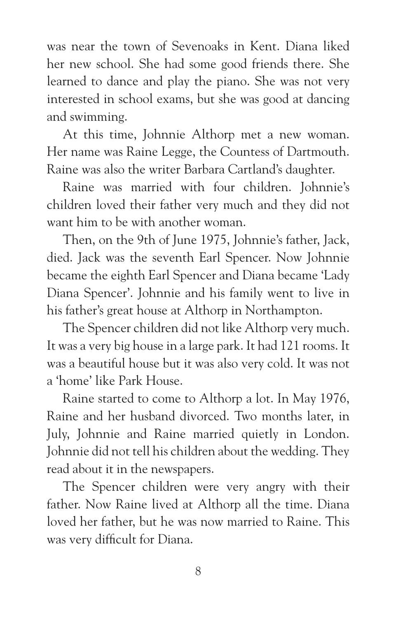was near the town of Sevenoaks in Kent. Diana liked her new school. She had some good friends there. She learned to dance and play the piano. She was not very interested in school exams, but she was good at dancing and swimming.

At this time, Johnnie Althorp met a new woman. Her name was Raine Legge, the Countess of Dartmouth. Raine was also the writer Barbara Cartland's daughter.

Raine was married with four children. Johnnie's children loved their father very much and they did not want him to be with another woman.

Then, on the 9th of June 1975, Johnnie's father, Jack, died. Jack was the seventh Earl Spencer. Now Johnnie became the eighth Earl Spencer and Diana became 'Lady Diana Spencer'. Johnnie and his family went to live in his father's great house at Althorp in Northampton.

The Spencer children did not like Althorp very much. It was a very big house in a large park. It had 121 rooms. It was a beautiful house but it was also very cold. It was not a 'home' like Park House.

Raine started to come to Althorp a lot. In May 1976, Raine and her husband divorced. Two months later, in July, Johnnie and Raine married quietly in London. Johnnie did not tell his children about the wedding. They read about it in the newspapers.

The Spencer children were very angry with their father. Now Raine lived at Althorp all the time. Diana loved her father, but he was now married to Raine. This was very difficult for Diana.